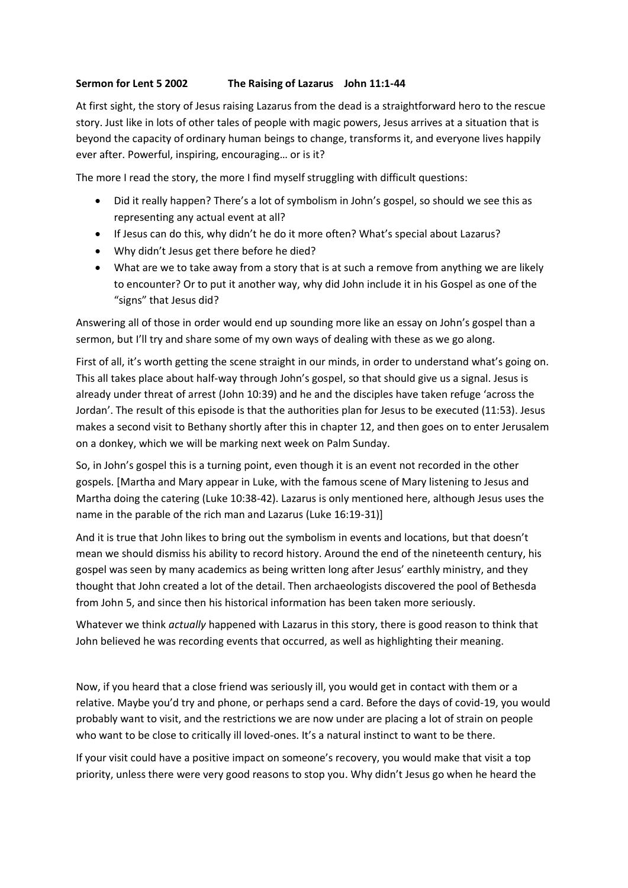## **Sermon for Lent 5 2002 The Raising of Lazarus John 11:1-44**

At first sight, the story of Jesus raising Lazarus from the dead is a straightforward hero to the rescue story. Just like in lots of other tales of people with magic powers, Jesus arrives at a situation that is beyond the capacity of ordinary human beings to change, transforms it, and everyone lives happily ever after. Powerful, inspiring, encouraging… or is it?

The more I read the story, the more I find myself struggling with difficult questions:

- Did it really happen? There's a lot of symbolism in John's gospel, so should we see this as representing any actual event at all?
- If Jesus can do this, why didn't he do it more often? What's special about Lazarus?
- Why didn't Jesus get there before he died?
- What are we to take away from a story that is at such a remove from anything we are likely to encounter? Or to put it another way, why did John include it in his Gospel as one of the "signs" that Jesus did?

Answering all of those in order would end up sounding more like an essay on John's gospel than a sermon, but I'll try and share some of my own ways of dealing with these as we go along.

First of all, it's worth getting the scene straight in our minds, in order to understand what's going on. This all takes place about half-way through John's gospel, so that should give us a signal. Jesus is already under threat of arrest (John 10:39) and he and the disciples have taken refuge 'across the Jordan'. The result of this episode is that the authorities plan for Jesus to be executed (11:53). Jesus makes a second visit to Bethany shortly after this in chapter 12, and then goes on to enter Jerusalem on a donkey, which we will be marking next week on Palm Sunday.

So, in John's gospel this is a turning point, even though it is an event not recorded in the other gospels. [Martha and Mary appear in Luke, with the famous scene of Mary listening to Jesus and Martha doing the catering (Luke 10:38-42). Lazarus is only mentioned here, although Jesus uses the name in the parable of the rich man and Lazarus (Luke 16:19-31)]

And it is true that John likes to bring out the symbolism in events and locations, but that doesn't mean we should dismiss his ability to record history. Around the end of the nineteenth century, his gospel was seen by many academics as being written long after Jesus' earthly ministry, and they thought that John created a lot of the detail. Then archaeologists discovered the pool of Bethesda from John 5, and since then his historical information has been taken more seriously.

Whatever we think *actually* happened with Lazarus in this story, there is good reason to think that John believed he was recording events that occurred, as well as highlighting their meaning.

Now, if you heard that a close friend was seriously ill, you would get in contact with them or a relative. Maybe you'd try and phone, or perhaps send a card. Before the days of covid-19, you would probably want to visit, and the restrictions we are now under are placing a lot of strain on people who want to be close to critically ill loved-ones. It's a natural instinct to want to be there.

If your visit could have a positive impact on someone's recovery, you would make that visit a top priority, unless there were very good reasons to stop you. Why didn't Jesus go when he heard the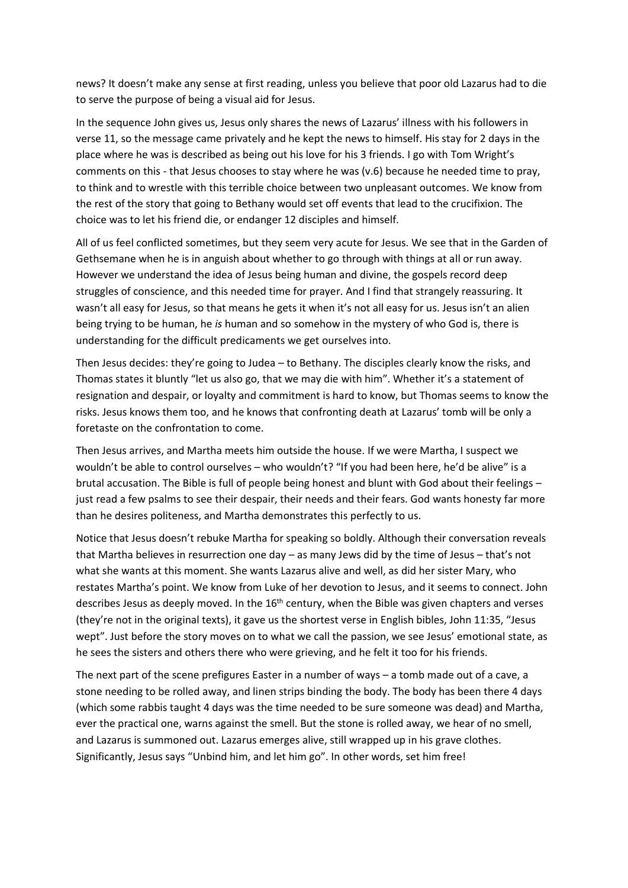news? It doesn't make any sense at first reading, unless you believe that poor old Lazarus had to die to serve the purpose of being a visual aid for Jesus.

In the sequence John gives us, Jesus only shares the news of Lazarus' illness with his followers in verse 11, so the message came privately and he kept the news to himself. His stay for 2 days in the place where he was is described as being out his love for his 3 friends. I go with Tom Wright's comments on this - that Jesus chooses to stay where he was (v.6) because he needed time to pray, to think and to wrestle with this terrible choice between two unpleasant outcomes. We know from the rest of the story that going to Bethany would set off events that lead to the crucifixion. The choice was to let his friend die, or endanger 12 disciples and himself.

All of us feel conflicted sometimes, but they seem very acute for Jesus. We see that in the Garden of Gethsemane when he is in anguish about whether to go through with things at all or run away. However we understand the idea of Jesus being human and divine, the gospels record deep struggles of conscience, and this needed time for prayer. And I find that strangely reassuring. It wasn't all easy for Jesus, so that means he gets it when it's not all easy for us. Jesus isn't an alien being trying to be human, he *is* human and so somehow in the mystery of who God is, there is understanding for the difficult predicaments we get ourselves into.

Then Jesus decides: they're going to Judea – to Bethany. The disciples clearly know the risks, and Thomas states it bluntly "let us also go, that we may die with him". Whether it's a statement of resignation and despair, or loyalty and commitment is hard to know, but Thomas seems to know the risks. Jesus knows them too, and he knows that confronting death at Lazarus' tomb will be only a foretaste on the confrontation to come.

Then Jesus arrives, and Martha meets him outside the house. If we were Martha, I suspect we wouldn't be able to control ourselves – who wouldn't? "If you had been here, he'd be alive" is a brutal accusation. The Bible is full of people being honest and blunt with God about their feelings – just read a few psalms to see their despair, their needs and their fears. God wants honesty far more than he desires politeness, and Martha demonstrates this perfectly to us.

Notice that Jesus doesn't rebuke Martha for speaking so boldly. Although their conversation reveals that Martha believes in resurrection one day – as many Jews did by the time of Jesus – that's not what she wants at this moment. She wants Lazarus alive and well, as did her sister Mary, who restates Martha's point. We know from Luke of her devotion to Jesus, and it seems to connect. John describes Jesus as deeply moved. In the 16<sup>th</sup> century, when the Bible was given chapters and verses (they're not in the original texts), it gave us the shortest verse in English bibles, John 11:35, "Jesus wept". Just before the story moves on to what we call the passion, we see Jesus' emotional state, as he sees the sisters and others there who were grieving, and he felt it too for his friends.

The next part of the scene prefigures Easter in a number of ways – a tomb made out of a cave, a stone needing to be rolled away, and linen strips binding the body. The body has been there 4 days (which some rabbis taught 4 days was the time needed to be sure someone was dead) and Martha, ever the practical one, warns against the smell. But the stone is rolled away, we hear of no smell, and Lazarus is summoned out. Lazarus emerges alive, still wrapped up in his grave clothes. Significantly, Jesus says "Unbind him, and let him go". In other words, set him free!